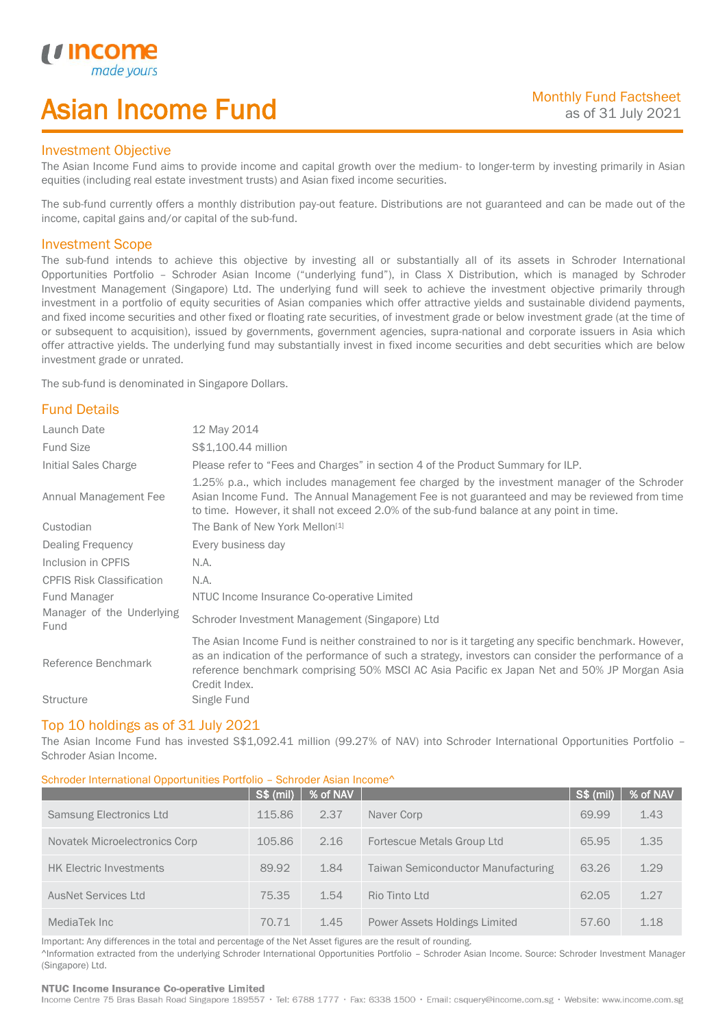# Asian Income Fund

## Investment Objective

u incor

I

The Asian Income Fund aims to provide income and capital growth over the medium- to longer-term by investing primarily in Asian equities (including real estate investment trusts) and Asian fixed income securities.

The sub-fund currently offers a monthly distribution pay-out feature. Distributions are not guaranteed and can be made out of the income, capital gains and/or capital of the sub-fund.

## Investment Scope

The sub-fund intends to achieve this objective by investing all or substantially all of its assets in Schroder International Opportunities Portfolio – Schroder Asian Income ("underlying fund"), in Class X Distribution, which is managed by Schroder Investment Management (Singapore) Ltd. The underlying fund will seek to achieve the investment objective primarily through investment in a portfolio of equity securities of Asian companies which offer attractive yields and sustainable dividend payments, and fixed income securities and other fixed or floating rate securities, of investment grade or below investment grade (at the time of or subsequent to acquisition), issued by governments, government agencies, supra-national and corporate issuers in Asia which offer attractive yields. The underlying fund may substantially invest in fixed income securities and debt securities which are below investment grade or unrated.

The sub-fund is denominated in Singapore Dollars.

## Fund Details

| Launch Date                       | 12 May 2014                                                                                                                                                                                                                                                                                                                 |
|-----------------------------------|-----------------------------------------------------------------------------------------------------------------------------------------------------------------------------------------------------------------------------------------------------------------------------------------------------------------------------|
| <b>Fund Size</b>                  | S\$1,100.44 million                                                                                                                                                                                                                                                                                                         |
| Initial Sales Charge              | Please refer to "Fees and Charges" in section 4 of the Product Summary for ILP.                                                                                                                                                                                                                                             |
| Annual Management Fee             | 1.25% p.a., which includes management fee charged by the investment manager of the Schroder<br>Asian Income Fund. The Annual Management Fee is not guaranteed and may be reviewed from time<br>to time. However, it shall not exceed 2.0% of the sub-fund balance at any point in time.                                     |
| Custodian                         | The Bank of New York Mellon <sup>[1]</sup>                                                                                                                                                                                                                                                                                  |
| Dealing Frequency                 | Every business day                                                                                                                                                                                                                                                                                                          |
| Inclusion in CPFIS                | N.A.                                                                                                                                                                                                                                                                                                                        |
| <b>CPFIS Risk Classification</b>  | N.A.                                                                                                                                                                                                                                                                                                                        |
| <b>Fund Manager</b>               | NTUC Income Insurance Co-operative Limited                                                                                                                                                                                                                                                                                  |
| Manager of the Underlying<br>Fund | Schroder Investment Management (Singapore) Ltd                                                                                                                                                                                                                                                                              |
| Reference Benchmark               | The Asian Income Fund is neither constrained to nor is it targeting any specific benchmark. However,<br>as an indication of the performance of such a strategy, investors can consider the performance of a<br>reference benchmark comprising 50% MSCI AC Asia Pacific ex Japan Net and 50% JP Morgan Asia<br>Credit Index. |
| <b>Structure</b>                  | Single Fund                                                                                                                                                                                                                                                                                                                 |

#### Top 10 holdings as of 31 July 2021

The Asian Income Fund has invested S\$1,092.41 million (99.27% of NAV) into Schroder International Opportunities Portfolio -Schroder Asian Income.

### Schroder International Opportunities Portfolio – Schroder Asian Income^

|                                | <b>S\$ (mil)</b> | % of NAV |                                           | <b>S\$ (mil)</b> | % of NAV |
|--------------------------------|------------------|----------|-------------------------------------------|------------------|----------|
| <b>Samsung Electronics Ltd</b> | 115.86           | 2.37     | Naver Corp                                | 69.99            | 1.43     |
| Novatek Microelectronics Corp  | 105.86           | 2.16     | Fortescue Metals Group Ltd                | 65.95            | 1.35     |
| <b>HK Electric Investments</b> | 89.92            | 1.84     | <b>Taiwan Semiconductor Manufacturing</b> | 63.26            | 1.29     |
| <b>AusNet Services Ltd</b>     | 75.35            | 1.54     | Rio Tinto Ltd                             | 62.05            | 1.27     |
| MediaTek Inc                   | 70.71            | 1.45     | Power Assets Holdings Limited             | 57.60            | 1.18     |

Important: Any differences in the total and percentage of the Net Asset figures are the result of rounding. ^Information extracted from the underlying Schroder International Opportunities Portfolio – Schroder Asian Income. Source: Schroder Investment Manager (Singapore) Ltd.

#### NTUC Income Insurance Co-operative Limited

Income Centre 75 Bras Basah Road Singapore 189557 · Tel: 6788 1777 · Fax: 6338 1500 · Email: csquery@income.com.sg · Website: www.income.com.sg